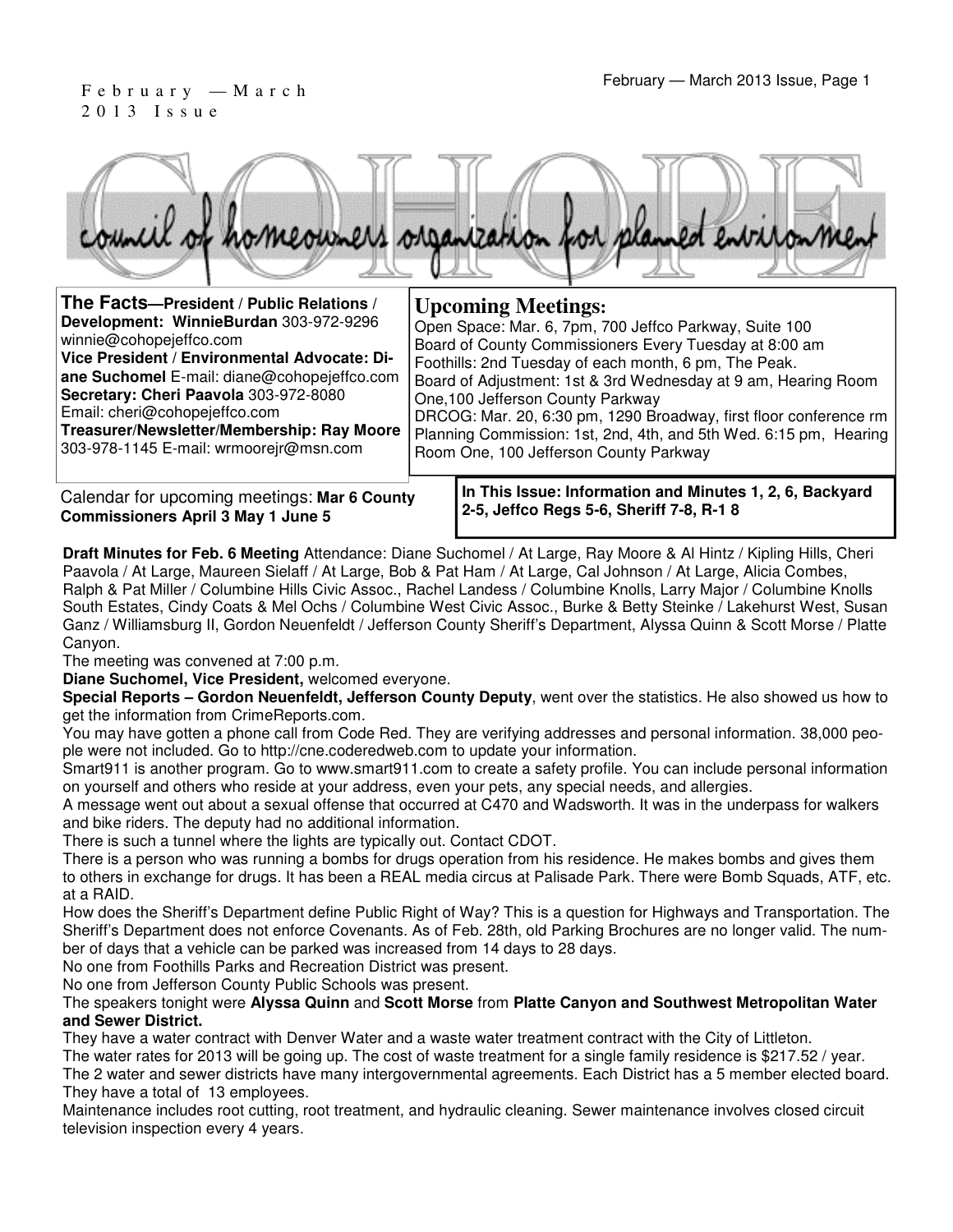### February — March 2013 Issue, Page 1 February — March 2013 Issue, Page 1 2 0 1 3 I s s u e



| The Facts-President / Public Relations /     | <b>Upcoming Meetings:</b>                                         |
|----------------------------------------------|-------------------------------------------------------------------|
| Development: WinnieBurdan 303-972-9296       | Open Space: Mar. 6, 7pm, 700 Jeffco Parkway, Suite 100            |
| winnie@cohopejeffco.com                      | Board of County Commissioners Every Tuesday at 8:00 am            |
| Vice President / Environmental Advocate: Di- | Foothills: 2nd Tuesday of each month, 6 pm, The Peak.             |
| ane Suchomel E-mail: diane@cohopejeffco.com  | Board of Adjustment: 1st & 3rd Wednesday at 9 am, Hearing Room    |
| Secretary: Cheri Paavola 303-972-8080        | One, 100 Jefferson County Parkway                                 |
| Email: cheri@cohopejeffco.com                | DRCOG: Mar. 20, 6:30 pm, 1290 Broadway, first floor conference rm |
| Treasurer/Newsletter/Membership: Ray Moore   | Planning Commission: 1st, 2nd, 4th, and 5th Wed. 6:15 pm, Hearing |
| 303-978-1145 E-mail: wrmoorejr@msn.com       | Room One, 100 Jefferson County Parkway                            |

Calendar for upcoming meetings: **Mar 6 County Commissioners April 3 May 1 June 5** 

**In This Issue: Information and Minutes 1, 2, 6, Backyard 2-5, Jeffco Regs 5-6, Sheriff 7-8, R-1 8** 

**Draft Minutes for Feb. 6 Meeting** Attendance: Diane Suchomel / At Large, Ray Moore & Al Hintz / Kipling Hills, Cheri Paavola / At Large, Maureen Sielaff / At Large, Bob & Pat Ham / At Large, Cal Johnson / At Large, Alicia Combes, Ralph & Pat Miller / Columbine Hills Civic Assoc., Rachel Landess / Columbine Knolls, Larry Major / Columbine Knolls South Estates, Cindy Coats & Mel Ochs / Columbine West Civic Assoc., Burke & Betty Steinke / Lakehurst West, Susan Ganz / Williamsburg II, Gordon Neuenfeldt / Jefferson County Sheriff's Department, Alyssa Quinn & Scott Morse / Platte Canyon.

The meeting was convened at 7:00 p.m.

**Diane Suchomel, Vice President,** welcomed everyone.

**Special Reports – Gordon Neuenfeldt, Jefferson County Deputy**, went over the statistics. He also showed us how to get the information from CrimeReports.com.

You may have gotten a phone call from Code Red. They are verifying addresses and personal information. 38,000 people were not included. Go to http://cne.coderedweb.com to update your information.

Smart911 is another program. Go to www.smart911.com to create a safety profile. You can include personal information on yourself and others who reside at your address, even your pets, any special needs, and allergies.

A message went out about a sexual offense that occurred at C470 and Wadsworth. It was in the underpass for walkers and bike riders. The deputy had no additional information.

There is such a tunnel where the lights are typically out. Contact CDOT.

There is a person who was running a bombs for drugs operation from his residence. He makes bombs and gives them to others in exchange for drugs. It has been a REAL media circus at Palisade Park. There were Bomb Squads, ATF, etc. at a RAID.

How does the Sheriff's Department define Public Right of Way? This is a question for Highways and Transportation. The Sheriff's Department does not enforce Covenants. As of Feb. 28th, old Parking Brochures are no longer valid. The number of days that a vehicle can be parked was increased from 14 days to 28 days.

No one from Foothills Parks and Recreation District was present.

No one from Jefferson County Public Schools was present.

#### The speakers tonight were **Alyssa Quinn** and **Scott Morse** from **Platte Canyon and Southwest Metropolitan Water and Sewer District.**

They have a water contract with Denver Water and a waste water treatment contract with the City of Littleton.

The water rates for 2013 will be going up. The cost of waste treatment for a single family residence is \$217.52 / year.

The 2 water and sewer districts have many intergovernmental agreements. Each District has a 5 member elected board. They have a total of 13 employees.

Maintenance includes root cutting, root treatment, and hydraulic cleaning. Sewer maintenance involves closed circuit television inspection every 4 years.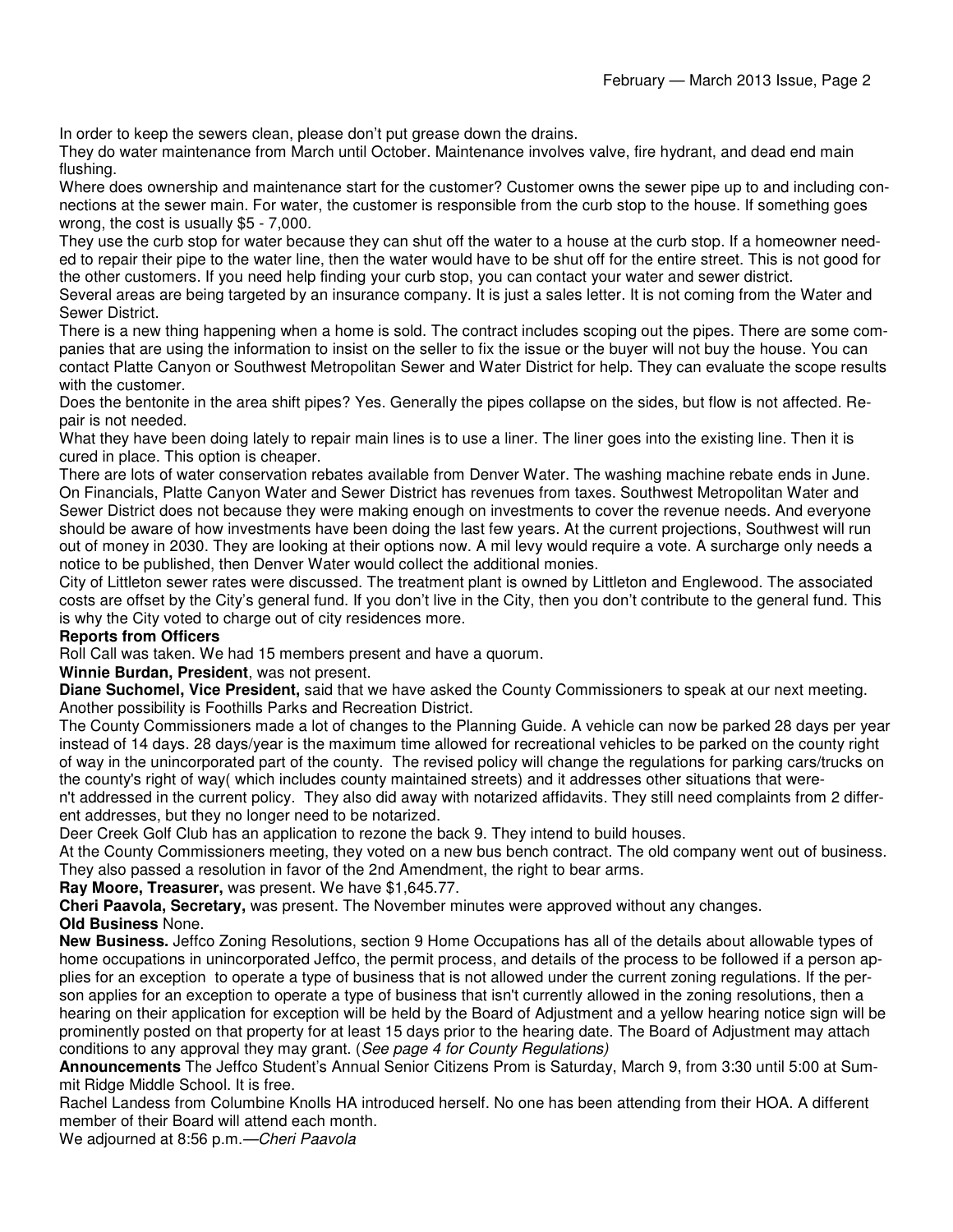In order to keep the sewers clean, please don't put grease down the drains.

They do water maintenance from March until October. Maintenance involves valve, fire hydrant, and dead end main flushing.

Where does ownership and maintenance start for the customer? Customer owns the sewer pipe up to and including connections at the sewer main. For water, the customer is responsible from the curb stop to the house. If something goes wrong, the cost is usually \$5 - 7,000.

They use the curb stop for water because they can shut off the water to a house at the curb stop. If a homeowner needed to repair their pipe to the water line, then the water would have to be shut off for the entire street. This is not good for the other customers. If you need help finding your curb stop, you can contact your water and sewer district.

Several areas are being targeted by an insurance company. It is just a sales letter. It is not coming from the Water and Sewer District.

There is a new thing happening when a home is sold. The contract includes scoping out the pipes. There are some companies that are using the information to insist on the seller to fix the issue or the buyer will not buy the house. You can contact Platte Canyon or Southwest Metropolitan Sewer and Water District for help. They can evaluate the scope results with the customer.

Does the bentonite in the area shift pipes? Yes. Generally the pipes collapse on the sides, but flow is not affected. Repair is not needed.

What they have been doing lately to repair main lines is to use a liner. The liner goes into the existing line. Then it is cured in place. This option is cheaper.

There are lots of water conservation rebates available from Denver Water. The washing machine rebate ends in June. On Financials, Platte Canyon Water and Sewer District has revenues from taxes. Southwest Metropolitan Water and Sewer District does not because they were making enough on investments to cover the revenue needs. And everyone should be aware of how investments have been doing the last few years. At the current projections, Southwest will run out of money in 2030. They are looking at their options now. A mil levy would require a vote. A surcharge only needs a notice to be published, then Denver Water would collect the additional monies.

City of Littleton sewer rates were discussed. The treatment plant is owned by Littleton and Englewood. The associated costs are offset by the City's general fund. If you don't live in the City, then you don't contribute to the general fund. This is why the City voted to charge out of city residences more.

#### **Reports from Officers**

Roll Call was taken. We had 15 members present and have a quorum.

**Winnie Burdan, President**, was not present.

**Diane Suchomel, Vice President,** said that we have asked the County Commissioners to speak at our next meeting. Another possibility is Foothills Parks and Recreation District.

The County Commissioners made a lot of changes to the Planning Guide. A vehicle can now be parked 28 days per year instead of 14 days. 28 days/year is the maximum time allowed for recreational vehicles to be parked on the county right of way in the unincorporated part of the county. The revised policy will change the regulations for parking cars/trucks on the county's right of way( which includes county maintained streets) and it addresses other situations that were-

n't addressed in the current policy. They also did away with notarized affidavits. They still need complaints from 2 different addresses, but they no longer need to be notarized.

Deer Creek Golf Club has an application to rezone the back 9. They intend to build houses.

At the County Commissioners meeting, they voted on a new bus bench contract. The old company went out of business. They also passed a resolution in favor of the 2nd Amendment, the right to bear arms.

**Ray Moore, Treasurer,** was present. We have \$1,645.77.

**Cheri Paavola, Secretary,** was present. The November minutes were approved without any changes. **Old Business** None.

**New Business.** Jeffco Zoning Resolutions, section 9 Home Occupations has all of the details about allowable types of home occupations in unincorporated Jeffco, the permit process, and details of the process to be followed if a person applies for an exception to operate a type of business that is not allowed under the current zoning regulations. If the person applies for an exception to operate a type of business that isn't currently allowed in the zoning resolutions, then a hearing on their application for exception will be held by the Board of Adjustment and a yellow hearing notice sign will be prominently posted on that property for at least 15 days prior to the hearing date. The Board of Adjustment may attach conditions to any approval they may grant. (See page 4 for County Regulations)

**Announcements** The Jeffco Student's Annual Senior Citizens Prom is Saturday, March 9, from 3:30 until 5:00 at Summit Ridge Middle School. It is free.

Rachel Landess from Columbine Knolls HA introduced herself. No one has been attending from their HOA. A different member of their Board will attend each month.

We adjourned at 8:56 p.m.—Cheri Paavola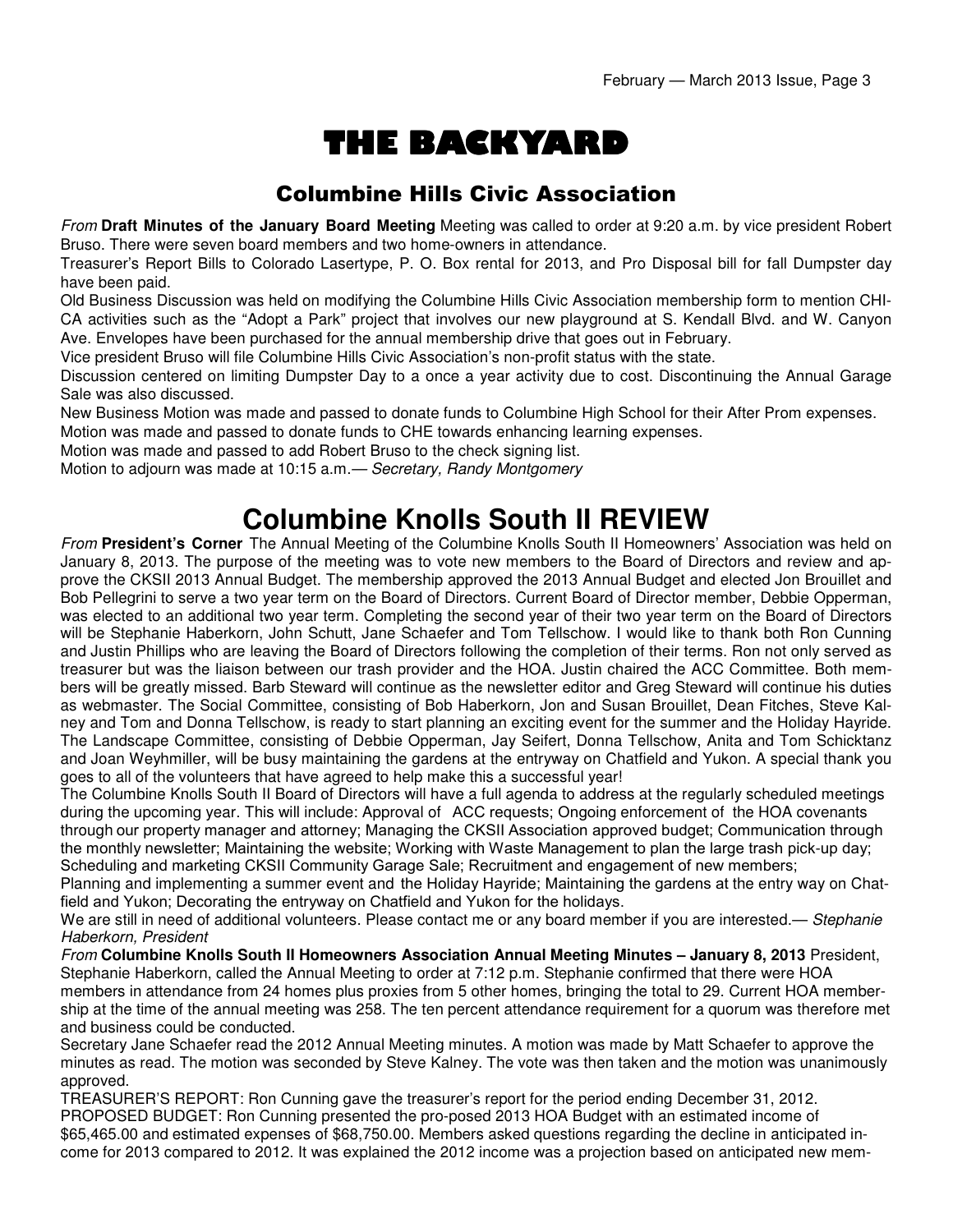# THE BACKYARD

## Columbine Hills Civic Association

From **Draft Minutes of the January Board Meeting** Meeting was called to order at 9:20 a.m. by vice president Robert Bruso. There were seven board members and two home-owners in attendance.

Treasurer's Report Bills to Colorado Lasertype, P. O. Box rental for 2013, and Pro Disposal bill for fall Dumpster day have been paid.

Old Business Discussion was held on modifying the Columbine Hills Civic Association membership form to mention CHI-CA activities such as the "Adopt a Park" project that involves our new playground at S. Kendall Blvd. and W. Canyon Ave. Envelopes have been purchased for the annual membership drive that goes out in February.

Vice president Bruso will file Columbine Hills Civic Association's non-profit status with the state.

Discussion centered on limiting Dumpster Day to a once a year activity due to cost. Discontinuing the Annual Garage Sale was also discussed.

New Business Motion was made and passed to donate funds to Columbine High School for their After Prom expenses.

Motion was made and passed to donate funds to CHE towards enhancing learning expenses.

Motion was made and passed to add Robert Bruso to the check signing list.

Motion to adjourn was made at 10:15 a.m.— Secretary, Randy Montgomery

# **Columbine Knolls South II REVIEW**

From **President's Corner** The Annual Meeting of the Columbine Knolls South II Homeowners' Association was held on January 8, 2013. The purpose of the meeting was to vote new members to the Board of Directors and review and approve the CKSII 2013 Annual Budget. The membership approved the 2013 Annual Budget and elected Jon Brouillet and Bob Pellegrini to serve a two year term on the Board of Directors. Current Board of Director member, Debbie Opperman, was elected to an additional two year term. Completing the second year of their two year term on the Board of Directors will be Stephanie Haberkorn, John Schutt, Jane Schaefer and Tom Tellschow. I would like to thank both Ron Cunning and Justin Phillips who are leaving the Board of Directors following the completion of their terms. Ron not only served as treasurer but was the liaison between our trash provider and the HOA. Justin chaired the ACC Committee. Both members will be greatly missed. Barb Steward will continue as the newsletter editor and Greg Steward will continue his duties as webmaster. The Social Committee, consisting of Bob Haberkorn, Jon and Susan Brouillet, Dean Fitches, Steve Kalney and Tom and Donna Tellschow, is ready to start planning an exciting event for the summer and the Holiday Hayride. The Landscape Committee, consisting of Debbie Opperman, Jay Seifert, Donna Tellschow, Anita and Tom Schicktanz and Joan Weyhmiller, will be busy maintaining the gardens at the entryway on Chatfield and Yukon. A special thank you goes to all of the volunteers that have agreed to help make this a successful year!

The Columbine Knolls South II Board of Directors will have a full agenda to address at the regularly scheduled meetings during the upcoming year. This will include: Approval of ACC requests; Ongoing enforcement of the HOA covenants through our property manager and attorney; Managing the CKSII Association approved budget; Communication through the monthly newsletter; Maintaining the website; Working with Waste Management to plan the large trash pick-up day; Scheduling and marketing CKSII Community Garage Sale; Recruitment and engagement of new members;

Planning and implementing a summer event and the Holiday Hayride; Maintaining the gardens at the entry way on Chatfield and Yukon; Decorating the entryway on Chatfield and Yukon for the holidays.

We are still in need of additional volunteers. Please contact me or any board member if you are interested.— Stephanie Haberkorn, President

From **Columbine Knolls South II Homeowners Association Annual Meeting Minutes – January 8, 2013** President, Stephanie Haberkorn, called the Annual Meeting to order at 7:12 p.m. Stephanie confirmed that there were HOA members in attendance from 24 homes plus proxies from 5 other homes, bringing the total to 29. Current HOA membership at the time of the annual meeting was 258. The ten percent attendance requirement for a quorum was therefore met and business could be conducted.

Secretary Jane Schaefer read the 2012 Annual Meeting minutes. A motion was made by Matt Schaefer to approve the minutes as read. The motion was seconded by Steve Kalney. The vote was then taken and the motion was unanimously approved.

TREASURER'S REPORT: Ron Cunning gave the treasurer's report for the period ending December 31, 2012. PROPOSED BUDGET: Ron Cunning presented the pro-posed 2013 HOA Budget with an estimated income of \$65,465.00 and estimated expenses of \$68,750.00. Members asked questions regarding the decline in anticipated income for 2013 compared to 2012. It was explained the 2012 income was a projection based on anticipated new mem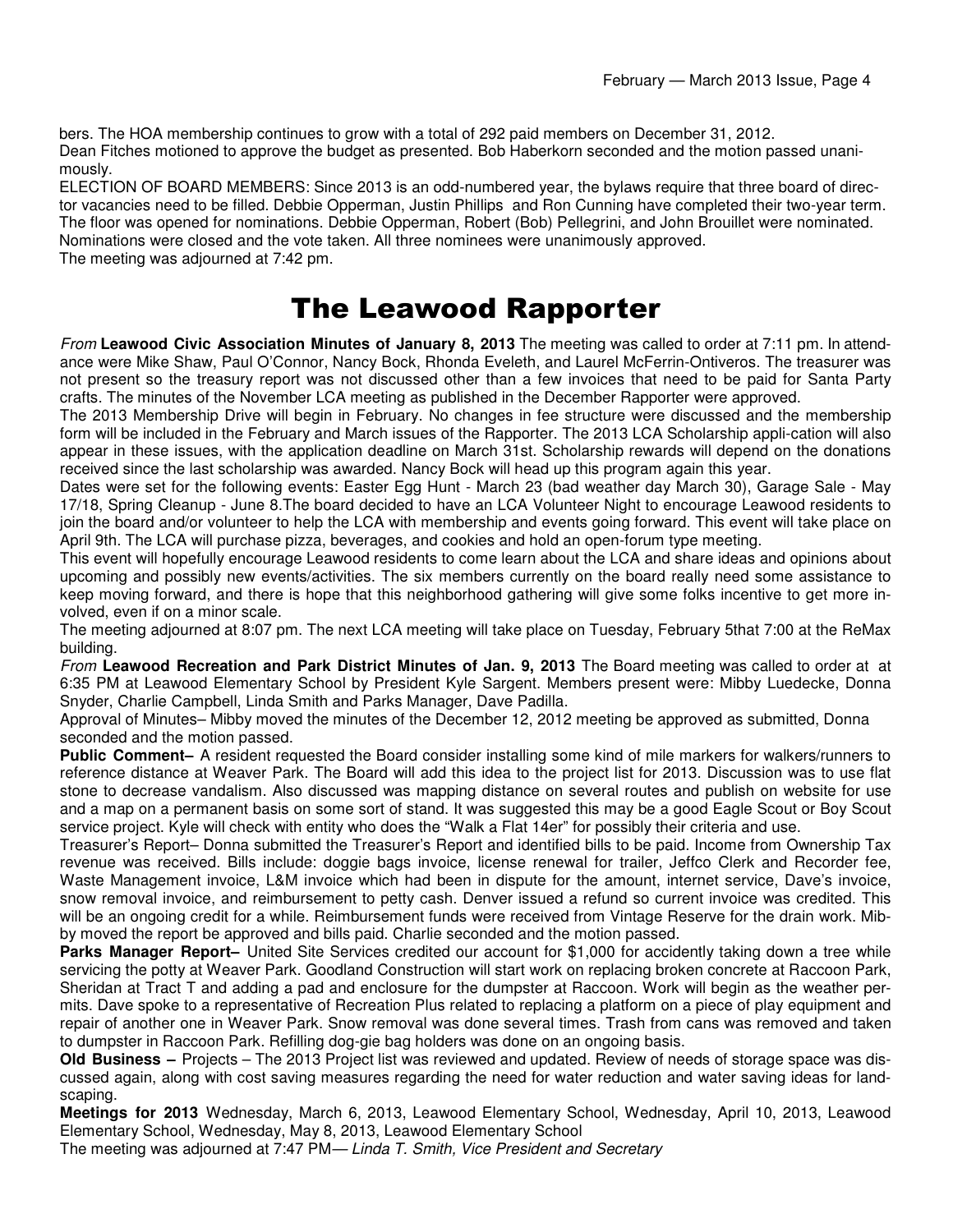bers. The HOA membership continues to grow with a total of 292 paid members on December 31, 2012. Dean Fitches motioned to approve the budget as presented. Bob Haberkorn seconded and the motion passed unanimously.

ELECTION OF BOARD MEMBERS: Since 2013 is an odd-numbered year, the bylaws require that three board of director vacancies need to be filled. Debbie Opperman, Justin Phillips and Ron Cunning have completed their two-year term. The floor was opened for nominations. Debbie Opperman, Robert (Bob) Pellegrini, and John Brouillet were nominated. Nominations were closed and the vote taken. All three nominees were unanimously approved. The meeting was adjourned at 7:42 pm.

# The Leawood Rapporter

From **Leawood Civic Association Minutes of January 8, 2013** The meeting was called to order at 7:11 pm. In attendance were Mike Shaw, Paul O'Connor, Nancy Bock, Rhonda Eveleth, and Laurel McFerrin-Ontiveros. The treasurer was not present so the treasury report was not discussed other than a few invoices that need to be paid for Santa Party crafts. The minutes of the November LCA meeting as published in the December Rapporter were approved.

The 2013 Membership Drive will begin in February. No changes in fee structure were discussed and the membership form will be included in the February and March issues of the Rapporter. The 2013 LCA Scholarship appli-cation will also appear in these issues, with the application deadline on March 31st. Scholarship rewards will depend on the donations received since the last scholarship was awarded. Nancy Bock will head up this program again this year.

Dates were set for the following events: Easter Egg Hunt - March 23 (bad weather day March 30), Garage Sale - May 17/18, Spring Cleanup - June 8.The board decided to have an LCA Volunteer Night to encourage Leawood residents to join the board and/or volunteer to help the LCA with membership and events going forward. This event will take place on April 9th. The LCA will purchase pizza, beverages, and cookies and hold an open-forum type meeting.

This event will hopefully encourage Leawood residents to come learn about the LCA and share ideas and opinions about upcoming and possibly new events/activities. The six members currently on the board really need some assistance to keep moving forward, and there is hope that this neighborhood gathering will give some folks incentive to get more involved, even if on a minor scale.

The meeting adjourned at 8:07 pm. The next LCA meeting will take place on Tuesday, February 5that 7:00 at the ReMax building.

From **Leawood Recreation and Park District Minutes of Jan. 9, 2013** The Board meeting was called to order at at 6:35 PM at Leawood Elementary School by President Kyle Sargent. Members present were: Mibby Luedecke, Donna Snyder, Charlie Campbell, Linda Smith and Parks Manager, Dave Padilla.

Approval of Minutes– Mibby moved the minutes of the December 12, 2012 meeting be approved as submitted, Donna seconded and the motion passed.

**Public Comment–** A resident requested the Board consider installing some kind of mile markers for walkers/runners to reference distance at Weaver Park. The Board will add this idea to the project list for 2013. Discussion was to use flat stone to decrease vandalism. Also discussed was mapping distance on several routes and publish on website for use and a map on a permanent basis on some sort of stand. It was suggested this may be a good Eagle Scout or Boy Scout service project. Kyle will check with entity who does the "Walk a Flat 14er" for possibly their criteria and use.

Treasurer's Report– Donna submitted the Treasurer's Report and identified bills to be paid. Income from Ownership Tax revenue was received. Bills include: doggie bags invoice, license renewal for trailer, Jeffco Clerk and Recorder fee, Waste Management invoice, L&M invoice which had been in dispute for the amount, internet service, Dave's invoice, snow removal invoice, and reimbursement to petty cash. Denver issued a refund so current invoice was credited. This will be an ongoing credit for a while. Reimbursement funds were received from Vintage Reserve for the drain work. Mibby moved the report be approved and bills paid. Charlie seconded and the motion passed.

**Parks Manager Report–** United Site Services credited our account for \$1,000 for accidently taking down a tree while servicing the potty at Weaver Park. Goodland Construction will start work on replacing broken concrete at Raccoon Park, Sheridan at Tract T and adding a pad and enclosure for the dumpster at Raccoon. Work will begin as the weather permits. Dave spoke to a representative of Recreation Plus related to replacing a platform on a piece of play equipment and repair of another one in Weaver Park. Snow removal was done several times. Trash from cans was removed and taken to dumpster in Raccoon Park. Refilling dog-gie bag holders was done on an ongoing basis.

**Old Business –** Projects – The 2013 Project list was reviewed and updated. Review of needs of storage space was discussed again, along with cost saving measures regarding the need for water reduction and water saving ideas for landscaping.

**Meetings for 2013** Wednesday, March 6, 2013, Leawood Elementary School, Wednesday, April 10, 2013, Leawood Elementary School, Wednesday, May 8, 2013, Leawood Elementary School

The meeting was adjourned at 7:47 PM— Linda T. Smith, Vice President and Secretary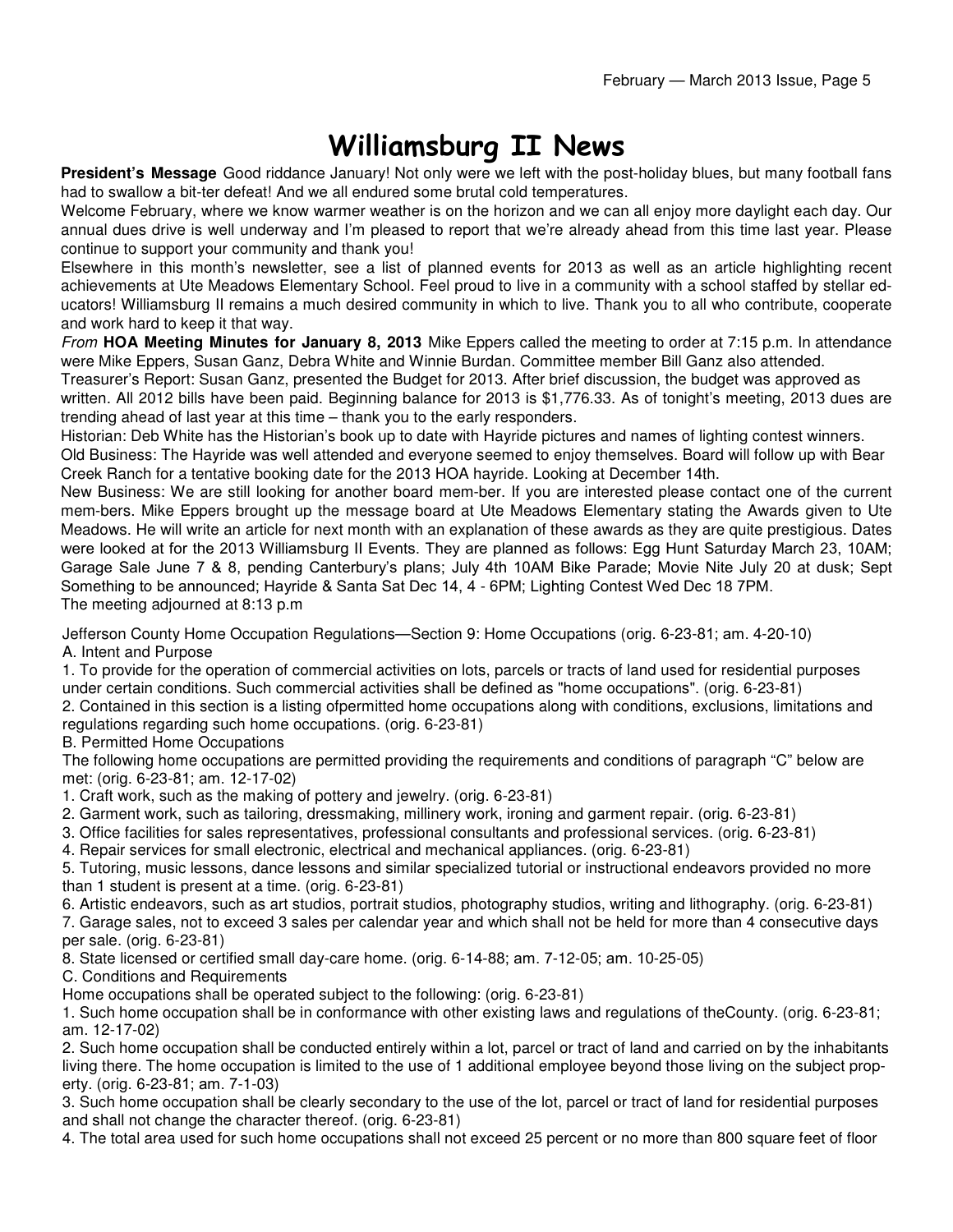# Williamsburg II News

**President's Message** Good riddance January! Not only were we left with the post-holiday blues, but many football fans had to swallow a bit-ter defeat! And we all endured some brutal cold temperatures.

Welcome February, where we know warmer weather is on the horizon and we can all enjoy more daylight each day. Our annual dues drive is well underway and I'm pleased to report that we're already ahead from this time last year. Please continue to support your community and thank you!

Elsewhere in this month's newsletter, see a list of planned events for 2013 as well as an article highlighting recent achievements at Ute Meadows Elementary School. Feel proud to live in a community with a school staffed by stellar educators! Williamsburg II remains a much desired community in which to live. Thank you to all who contribute, cooperate and work hard to keep it that way.

From **HOA Meeting Minutes for January 8, 2013** Mike Eppers called the meeting to order at 7:15 p.m. In attendance were Mike Eppers, Susan Ganz, Debra White and Winnie Burdan. Committee member Bill Ganz also attended.

Treasurer's Report: Susan Ganz, presented the Budget for 2013. After brief discussion, the budget was approved as written. All 2012 bills have been paid. Beginning balance for 2013 is \$1,776.33. As of tonight's meeting, 2013 dues are trending ahead of last year at this time – thank you to the early responders.

Historian: Deb White has the Historian's book up to date with Hayride pictures and names of lighting contest winners. Old Business: The Hayride was well attended and everyone seemed to enjoy themselves. Board will follow up with Bear Creek Ranch for a tentative booking date for the 2013 HOA hayride. Looking at December 14th.

New Business: We are still looking for another board mem-ber. If you are interested please contact one of the current mem-bers. Mike Eppers brought up the message board at Ute Meadows Elementary stating the Awards given to Ute Meadows. He will write an article for next month with an explanation of these awards as they are quite prestigious. Dates were looked at for the 2013 Williamsburg II Events. They are planned as follows: Egg Hunt Saturday March 23, 10AM; Garage Sale June 7 & 8, pending Canterbury's plans; July 4th 10AM Bike Parade; Movie Nite July 20 at dusk; Sept Something to be announced; Hayride & Santa Sat Dec 14, 4 - 6PM; Lighting Contest Wed Dec 18 7PM. The meeting adjourned at 8:13 p.m

Jefferson County Home Occupation Regulations—Section 9: Home Occupations (orig. 6-23-81; am. 4-20-10)

A. Intent and Purpose

1. To provide for the operation of commercial activities on lots, parcels or tracts of land used for residential purposes under certain conditions. Such commercial activities shall be defined as "home occupations". (orig. 6-23-81)

2. Contained in this section is a listing ofpermitted home occupations along with conditions, exclusions, limitations and regulations regarding such home occupations. (orig. 6-23-81)

B. Permitted Home Occupations

The following home occupations are permitted providing the requirements and conditions of paragraph "C" below are met: (orig. 6-23-81; am. 12-17-02)

1. Craft work, such as the making of pottery and jewelry. (orig. 6-23-81)

- 2. Garment work, such as tailoring, dressmaking, millinery work, ironing and garment repair. (orig. 6-23-81)
- 3. Office facilities for sales representatives, professional consultants and professional services. (orig. 6-23-81)

4. Repair services for small electronic, electrical and mechanical appliances. (orig. 6-23-81)

5. Tutoring, music lessons, dance lessons and similar specialized tutorial or instructional endeavors provided no more than 1 student is present at a time. (orig. 6-23-81)

6. Artistic endeavors, such as art studios, portrait studios, photography studios, writing and lithography. (orig. 6-23-81)

7. Garage sales, not to exceed 3 sales per calendar year and which shall not be held for more than 4 consecutive days per sale. (orig. 6-23-81)

8. State licensed or certified small day-care home. (orig. 6-14-88; am. 7-12-05; am. 10-25-05)

C. Conditions and Requirements

Home occupations shall be operated subject to the following: (orig. 6-23-81)

1. Such home occupation shall be in conformance with other existing laws and regulations of theCounty. (orig. 6-23-81; am. 12-17-02)

2. Such home occupation shall be conducted entirely within a lot, parcel or tract of land and carried on by the inhabitants living there. The home occupation is limited to the use of 1 additional employee beyond those living on the subject property. (orig. 6-23-81; am. 7-1-03)

3. Such home occupation shall be clearly secondary to the use of the lot, parcel or tract of land for residential purposes and shall not change the character thereof. (orig. 6-23-81)

4. The total area used for such home occupations shall not exceed 25 percent or no more than 800 square feet of floor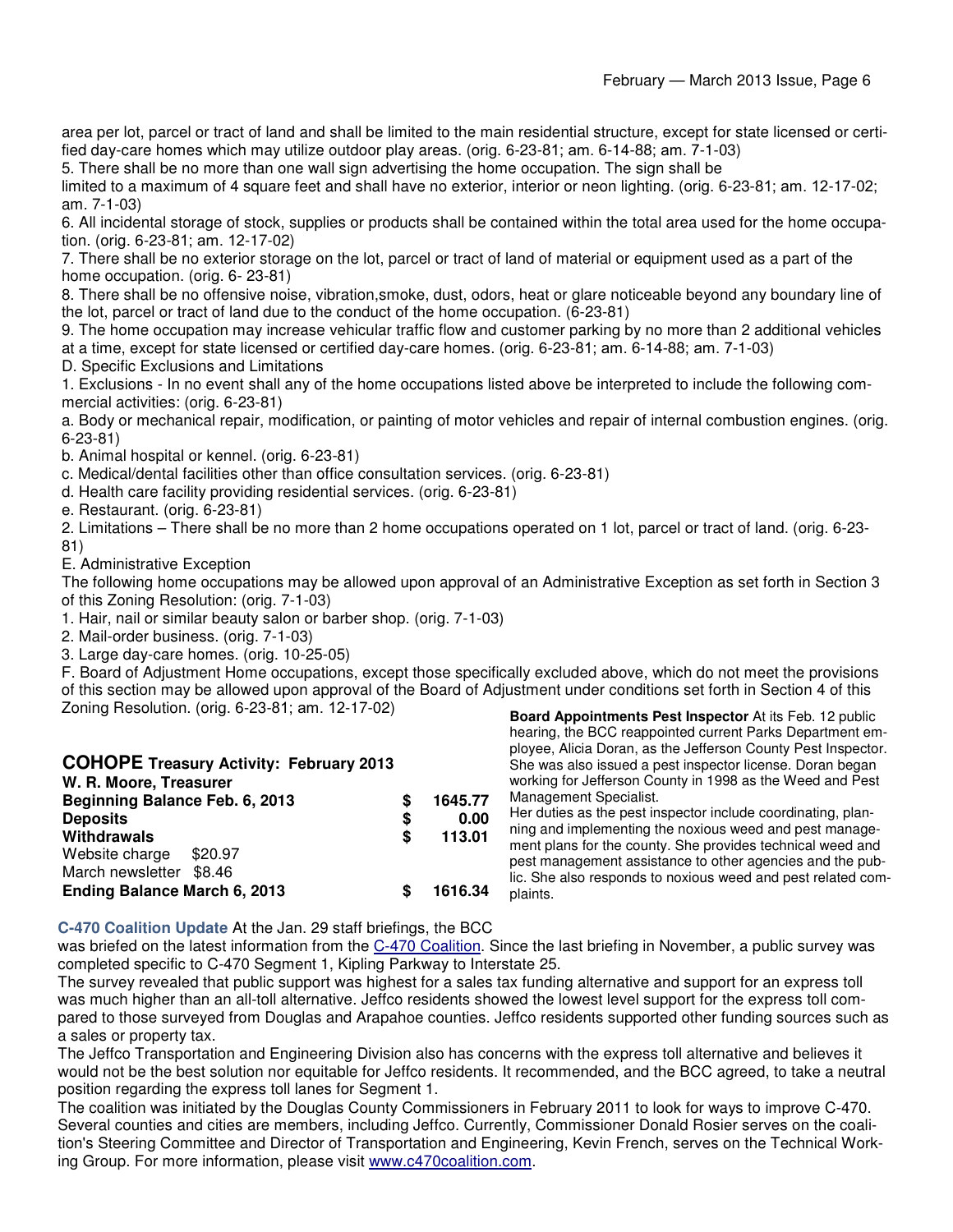area per lot, parcel or tract of land and shall be limited to the main residential structure, except for state licensed or certified day-care homes which may utilize outdoor play areas. (orig. 6-23-81; am. 6-14-88; am. 7-1-03)

5. There shall be no more than one wall sign advertising the home occupation. The sign shall be

limited to a maximum of 4 square feet and shall have no exterior, interior or neon lighting. (orig. 6-23-81; am. 12-17-02; am. 7-1-03)

6. All incidental storage of stock, supplies or products shall be contained within the total area used for the home occupation. (orig. 6-23-81; am. 12-17-02)

7. There shall be no exterior storage on the lot, parcel or tract of land of material or equipment used as a part of the home occupation. (orig. 6- 23-81)

8. There shall be no offensive noise, vibration,smoke, dust, odors, heat or glare noticeable beyond any boundary line of the lot, parcel or tract of land due to the conduct of the home occupation. (6-23-81)

9. The home occupation may increase vehicular traffic flow and customer parking by no more than 2 additional vehicles at a time, except for state licensed or certified day-care homes. (orig. 6-23-81; am. 6-14-88; am. 7-1-03)

D. Specific Exclusions and Limitations

1. Exclusions - In no event shall any of the home occupations listed above be interpreted to include the following commercial activities: (orig. 6-23-81)

a. Body or mechanical repair, modification, or painting of motor vehicles and repair of internal combustion engines. (orig. 6-23-81)

b. Animal hospital or kennel. (orig. 6-23-81)

c. Medical/dental facilities other than office consultation services. (orig. 6-23-81)

d. Health care facility providing residential services. (orig. 6-23-81)

e. Restaurant. (orig. 6-23-81)

2. Limitations – There shall be no more than 2 home occupations operated on 1 lot, parcel or tract of land. (orig. 6-23- 81)

E. Administrative Exception

The following home occupations may be allowed upon approval of an Administrative Exception as set forth in Section 3 of this Zoning Resolution: (orig. 7-1-03)

1. Hair, nail or similar beauty salon or barber shop. (orig. 7-1-03)

2. Mail-order business. (orig. 7-1-03)

3. Large day-care homes. (orig. 10-25-05)

F. Board of Adjustment Home occupations, except those specifically excluded above, which do not meet the provisions of this section may be allowed upon approval of the Board of Adjustment under conditions set forth in Section 4 of this Zoning Resolution. (orig. 6-23-81; am. 12-17-02)

**COHOPE Treasury Activity: February 2013 W. R. Moore, Treasurer Beginning Balance Feb. 6, 2013 \$ 1645.77**

| <b>Deposits</b>              |         | S | 0.00    |
|------------------------------|---------|---|---------|
| Withdrawals                  |         | S | 113.01  |
| Website charge               | \$20.97 |   |         |
| March newsletter \$8.46      |         |   |         |
| Ending Balance March 6, 2013 |         | S | 1616.34 |

**Board Appointments Pest Inspector** At its Feb. 12 public hearing, the BCC reappointed current Parks Department employee, Alicia Doran, as the Jefferson County Pest Inspector. She was also issued a pest inspector license. Doran began working for Jefferson County in 1998 as the Weed and Pest Management Specialist.

Her duties as the pest inspector include coordinating, planning and implementing the noxious weed and pest management plans for the county. She provides technical weed and pest management assistance to other agencies and the public. She also responds to noxious weed and pest related complaints.

**C-470 Coalition Update** At the Jan. 29 staff briefings, the BCC

was briefed on the latest information from the C-470 Coalition. Since the last briefing in November, a public survey was completed specific to C-470 Segment 1, Kipling Parkway to Interstate 25.

The survey revealed that public support was highest for a sales tax funding alternative and support for an express toll was much higher than an all-toll alternative. Jeffco residents showed the lowest level support for the express toll compared to those surveyed from Douglas and Arapahoe counties. Jeffco residents supported other funding sources such as a sales or property tax.

The Jeffco Transportation and Engineering Division also has concerns with the express toll alternative and believes it would not be the best solution nor equitable for Jeffco residents. It recommended, and the BCC agreed, to take a neutral position regarding the express toll lanes for Segment 1.

The coalition was initiated by the Douglas County Commissioners in February 2011 to look for ways to improve C-470. Several counties and cities are members, including Jeffco. Currently, Commissioner Donald Rosier serves on the coalition's Steering Committee and Director of Transportation and Engineering, Kevin French, serves on the Technical Working Group. For more information, please visit www.c470coalition.com.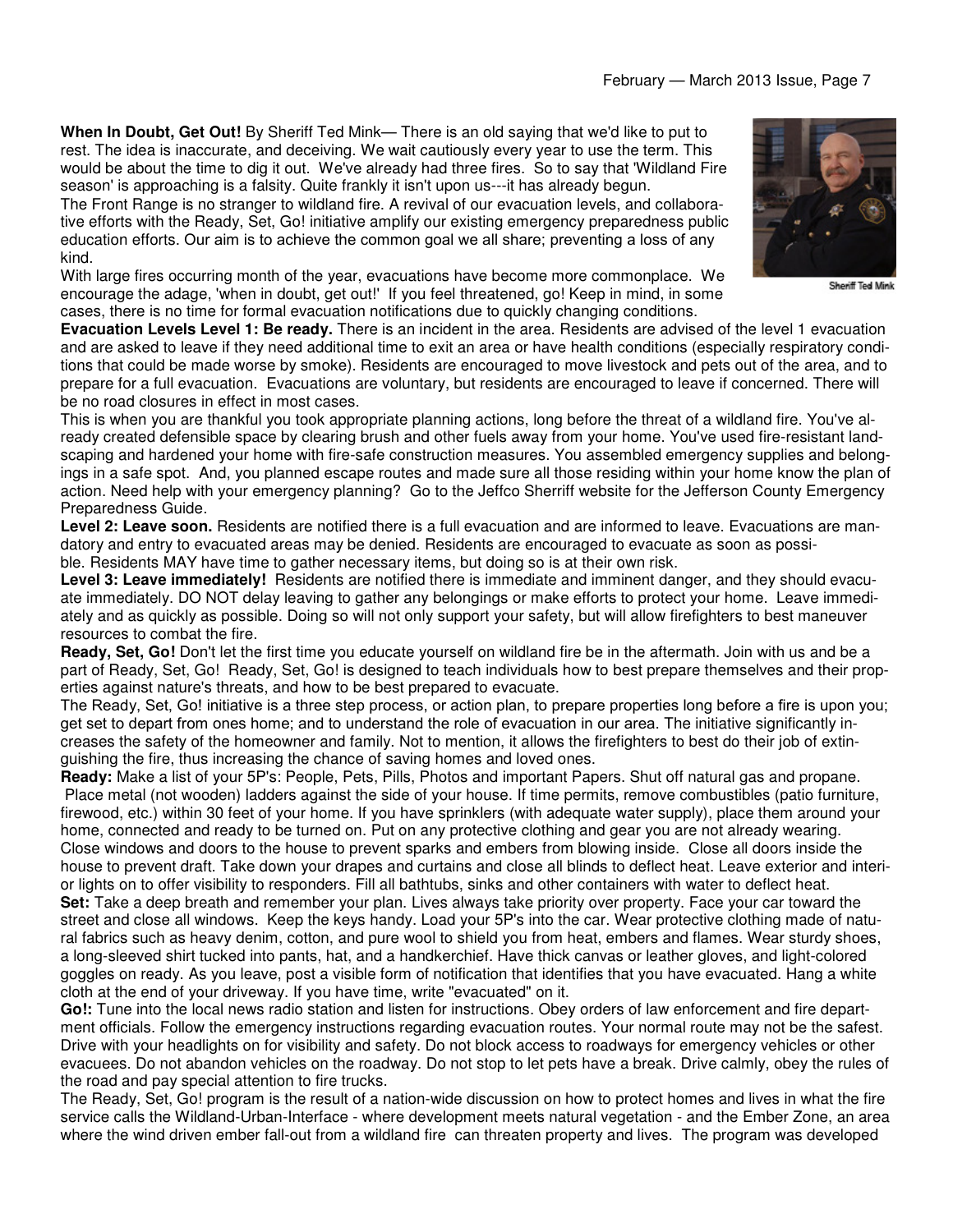**When In Doubt, Get Out!** By Sheriff Ted Mink— There is an old saying that we'd like to put to rest. The idea is inaccurate, and deceiving. We wait cautiously every year to use the term. This would be about the time to dig it out. We've already had three fires. So to say that 'Wildland Fire season' is approaching is a falsity. Quite frankly it isn't upon us---it has already begun.

The Front Range is no stranger to wildland fire. A revival of our evacuation levels, and collaborative efforts with the Ready, Set, Go! initiative amplify our existing emergency preparedness public education efforts. Our aim is to achieve the common goal we all share; preventing a loss of any



Sheriff Ted Mink

kind. With large fires occurring month of the year, evacuations have become more commonplace. We encourage the adage, 'when in doubt, get out!' If you feel threatened, go! Keep in mind, in some cases, there is no time for formal evacuation notifications due to quickly changing conditions.

**Evacuation Levels Level 1: Be ready.** There is an incident in the area. Residents are advised of the level 1 evacuation and are asked to leave if they need additional time to exit an area or have health conditions (especially respiratory conditions that could be made worse by smoke). Residents are encouraged to move livestock and pets out of the area, and to prepare for a full evacuation. Evacuations are voluntary, but residents are encouraged to leave if concerned. There will be no road closures in effect in most cases.

This is when you are thankful you took appropriate planning actions, long before the threat of a wildland fire. You've already created defensible space by clearing brush and other fuels away from your home. You've used fire-resistant landscaping and hardened your home with fire-safe construction measures. You assembled emergency supplies and belongings in a safe spot. And, you planned escape routes and made sure all those residing within your home know the plan of action. Need help with your emergency planning? Go to the Jeffco Sherriff website for the Jefferson County Emergency Preparedness Guide.

**Level 2: Leave soon.** Residents are notified there is a full evacuation and are informed to leave. Evacuations are mandatory and entry to evacuated areas may be denied. Residents are encouraged to evacuate as soon as possible. Residents MAY have time to gather necessary items, but doing so is at their own risk.

**Level 3: Leave immediately!** Residents are notified there is immediate and imminent danger, and they should evacuate immediately. DO NOT delay leaving to gather any belongings or make efforts to protect your home. Leave immediately and as quickly as possible. Doing so will not only support your safety, but will allow firefighters to best maneuver resources to combat the fire.

**Ready, Set, Go!** Don't let the first time you educate yourself on wildland fire be in the aftermath. Join with us and be a part of Ready, Set, Go! Ready, Set, Go! is designed to teach individuals how to best prepare themselves and their properties against nature's threats, and how to be best prepared to evacuate.

The Ready, Set, Go! initiative is a three step process, or action plan, to prepare properties long before a fire is upon you; get set to depart from ones home; and to understand the role of evacuation in our area. The initiative significantly increases the safety of the homeowner and family. Not to mention, it allows the firefighters to best do their job of extinguishing the fire, thus increasing the chance of saving homes and loved ones.

**Ready:** Make a list of your 5P's: People, Pets, Pills, Photos and important Papers. Shut off natural gas and propane. Place metal (not wooden) ladders against the side of your house. If time permits, remove combustibles (patio furniture, firewood, etc.) within 30 feet of your home. If you have sprinklers (with adequate water supply), place them around your home, connected and ready to be turned on. Put on any protective clothing and gear you are not already wearing. Close windows and doors to the house to prevent sparks and embers from blowing inside. Close all doors inside the house to prevent draft. Take down your drapes and curtains and close all blinds to deflect heat. Leave exterior and interior lights on to offer visibility to responders. Fill all bathtubs, sinks and other containers with water to deflect heat. **Set:** Take a deep breath and remember your plan. Lives always take priority over property. Face your car toward the street and close all windows. Keep the keys handy. Load your 5P's into the car. Wear protective clothing made of natural fabrics such as heavy denim, cotton, and pure wool to shield you from heat, embers and flames. Wear sturdy shoes, a long-sleeved shirt tucked into pants, hat, and a handkerchief. Have thick canvas or leather gloves, and light-colored goggles on ready. As you leave, post a visible form of notification that identifies that you have evacuated. Hang a white cloth at the end of your driveway. If you have time, write "evacuated" on it.

**Go!:** Tune into the local news radio station and listen for instructions. Obey orders of law enforcement and fire department officials. Follow the emergency instructions regarding evacuation routes. Your normal route may not be the safest. Drive with your headlights on for visibility and safety. Do not block access to roadways for emergency vehicles or other evacuees. Do not abandon vehicles on the roadway. Do not stop to let pets have a break. Drive calmly, obey the rules of the road and pay special attention to fire trucks.

The Ready, Set, Go! program is the result of a nation-wide discussion on how to protect homes and lives in what the fire service calls the Wildland-Urban-Interface - where development meets natural vegetation - and the Ember Zone, an area where the wind driven ember fall-out from a wildland fire can threaten property and lives. The program was developed